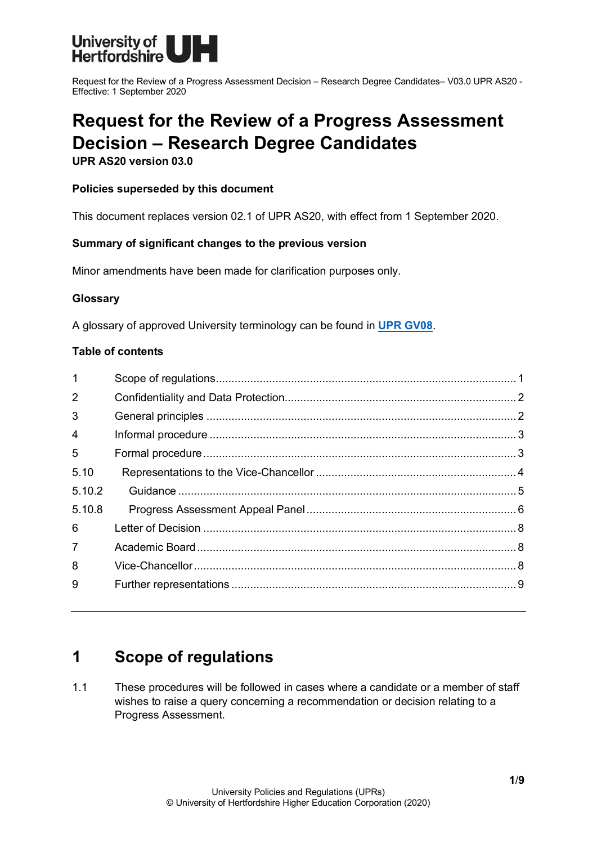

# **Request for the Review of a Progress Assessment Decision – Research Degree Candidates**

**UPR AS20 version 03.0**

#### **Policies superseded by this document**

This document replaces version 02.1 of UPR AS20, with effect from 1 September 2020.

#### **Summary of significant changes to the previous version**

Minor amendments have been made for clarification purposes only.

#### **Glossary**

A glossary of approved University terminology can be found in **[UPR GV08](https://www.herts.ac.uk/__data/assets/pdf_file/0020/233057/GV08-Glossary-of-Terminology.pdf)**.

#### **Table of contents**

| $\mathbf{1}$   |  |
|----------------|--|
| $\overline{2}$ |  |
| 3              |  |
| 4              |  |
| 5              |  |
| 5.10           |  |
| 5.10.2         |  |
| 5.10.8         |  |
| 6              |  |
| $\overline{7}$ |  |
| 8              |  |
| 9              |  |
|                |  |

### <span id="page-0-0"></span>**1 Scope of regulations**

1.1 These procedures will be followed in cases where a candidate or a member of staff wishes to raise a query concerning a recommendation or decision relating to a Progress Assessment.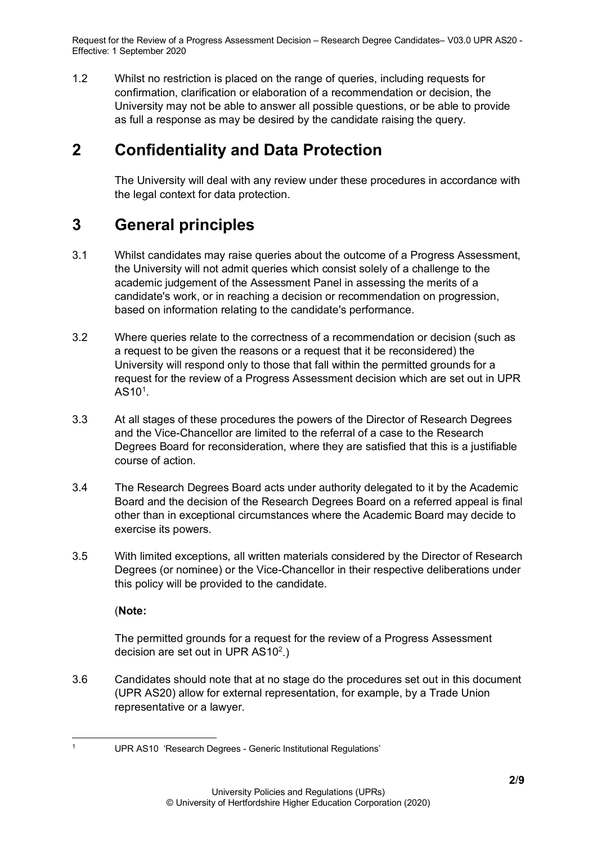1.2 Whilst no restriction is placed on the range of queries, including requests for confirmation, clarification or elaboration of a recommendation or decision, the University may not be able to answer all possible questions, or be able to provide as full a response as may be desired by the candidate raising the query.

# <span id="page-1-0"></span>**2 Confidentiality and Data Protection**

The University will deal with any review under these procedures in accordance with the legal context for data protection.

# <span id="page-1-1"></span>**3 General principles**

- 3.1 Whilst candidates may raise queries about the outcome of a Progress Assessment, the University will not admit queries which consist solely of a challenge to the academic judgement of the Assessment Panel in assessing the merits of a candidate's work, or in reaching a decision or recommendation on progression, based on information relating to the candidate's performance.
- 3.2 Where queries relate to the correctness of a recommendation or decision (such as a request to be given the reasons or a request that it be reconsidered) the University will respond only to those that fall within the permitted grounds for a request for the review of a Progress Assessment decision which are set out in UPR  $\mathsf{AS10^1}.$  $\mathsf{AS10^1}.$  $\mathsf{AS10^1}.$
- 3.3 At all stages of these procedures the powers of the Director of Research Degrees and the Vice-Chancellor are limited to the referral of a case to the Research Degrees Board for reconsideration, where they are satisfied that this is a justifiable course of action.
- 3.4 The Research Degrees Board acts under authority delegated to it by the Academic Board and the decision of the Research Degrees Board on a referred appeal is final other than in exceptional circumstances where the Academic Board may decide to exercise its powers.
- 3.5 With limited exceptions, all written materials considered by the Director of Research Degrees (or nominee) or the Vice-Chancellor in their respective deliberations under this policy will be provided to the candidate.

(**Note:**

The permitted grounds for a request for the review of a Progress Assessment decision are set out in UPR AS10 $^2$ .)

3.6 Candidates should note that at no stage do the procedures set out in this document (UPR AS20) allow for external representation, for example, by a Trade Union representative or a lawyer.

<span id="page-1-2"></span><sup>1</sup> UPR AS10 'Research Degrees - Generic Institutional Regulations'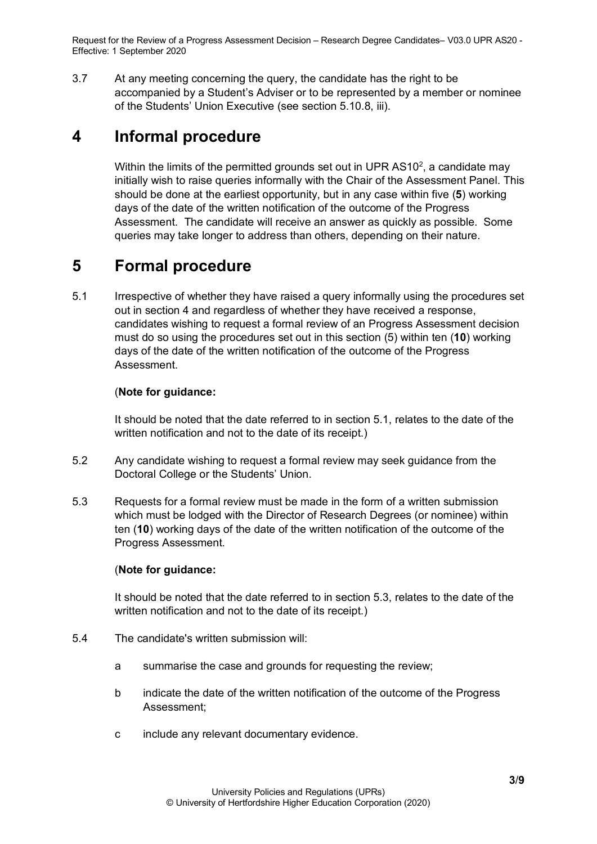3.7 At any meeting concerning the query, the candidate has the right to be accompanied by a Student's Adviser or to be represented by a member or nominee of the Students' Union Executive (see section 5.10.8, iii).

### <span id="page-2-0"></span>**4 Informal procedure**

Within the limits of the permitted grounds set out in UPR AS10<sup>2</sup>, a candidate may initially wish to raise queries informally with the Chair of the Assessment Panel. This should be done at the earliest opportunity, but in any case within five (**5**) working days of the date of the written notification of the outcome of the Progress Assessment. The candidate will receive an answer as quickly as possible. Some queries may take longer to address than others, depending on their nature.

## <span id="page-2-1"></span>**5 Formal procedure**

5.1 Irrespective of whether they have raised a query informally using the procedures set out in section 4 and regardless of whether they have received a response, candidates wishing to request a formal review of an Progress Assessment decision must do so using the procedures set out in this section (5) within ten (**10**) working days of the date of the written notification of the outcome of the Progress Assessment.

#### (**Note for guidance:**

It should be noted that the date referred to in section 5.1, relates to the date of the written notification and not to the date of its receipt.)

- 5.2 Any candidate wishing to request a formal review may seek guidance from the Doctoral College or the Students' Union.
- 5.3 Requests for a formal review must be made in the form of a written submission which must be lodged with the Director of Research Degrees (or nominee) within ten (**10**) working days of the date of the written notification of the outcome of the Progress Assessment.

#### (**Note for guidance:**

It should be noted that the date referred to in section 5.3, relates to the date of the written notification and not to the date of its receipt.)

- 5.4 The candidate's written submission will:
	- a summarise the case and grounds for requesting the review;
	- b indicate the date of the written notification of the outcome of the Progress Assessment;
	- c include any relevant documentary evidence.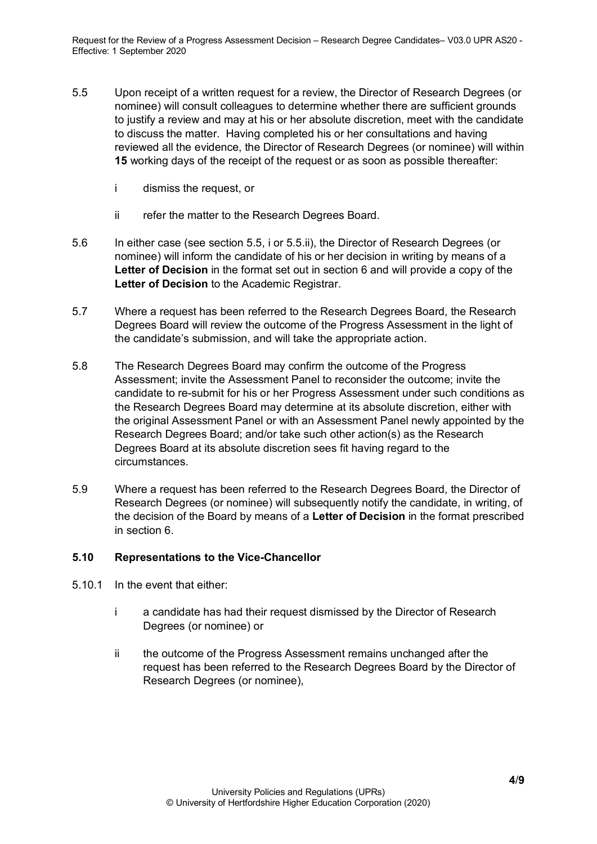- 5.5 Upon receipt of a written request for a review, the Director of Research Degrees (or nominee) will consult colleagues to determine whether there are sufficient grounds to justify a review and may at his or her absolute discretion, meet with the candidate to discuss the matter. Having completed his or her consultations and having reviewed all the evidence, the Director of Research Degrees (or nominee) will within **15** working days of the receipt of the request or as soon as possible thereafter:
	- i dismiss the request, or
	- ii refer the matter to the Research Degrees Board.
- 5.6 In either case (see section 5.5, i or 5.5.ii), the Director of Research Degrees (or nominee) will inform the candidate of his or her decision in writing by means of a **Letter of Decision** in the format set out in section 6 and will provide a copy of the **Letter of Decision** to the Academic Registrar.
- 5.7 Where a request has been referred to the Research Degrees Board, the Research Degrees Board will review the outcome of the Progress Assessment in the light of the candidate's submission, and will take the appropriate action.
- 5.8 The Research Degrees Board may confirm the outcome of the Progress Assessment; invite the Assessment Panel to reconsider the outcome; invite the candidate to re-submit for his or her Progress Assessment under such conditions as the Research Degrees Board may determine at its absolute discretion, either with the original Assessment Panel or with an Assessment Panel newly appointed by the Research Degrees Board; and/or take such other action(s) as the Research Degrees Board at its absolute discretion sees fit having regard to the circumstances.
- 5.9 Where a request has been referred to the Research Degrees Board, the Director of Research Degrees (or nominee) will subsequently notify the candidate, in writing, of the decision of the Board by means of a **Letter of Decision** in the format prescribed in section 6.

#### <span id="page-3-0"></span>**5.10 Representations to the Vice-Chancellor**

- 5.10.1 In the event that either:
	- i a candidate has had their request dismissed by the Director of Research Degrees (or nominee) or
	- ii the outcome of the Progress Assessment remains unchanged after the request has been referred to the Research Degrees Board by the Director of Research Degrees (or nominee),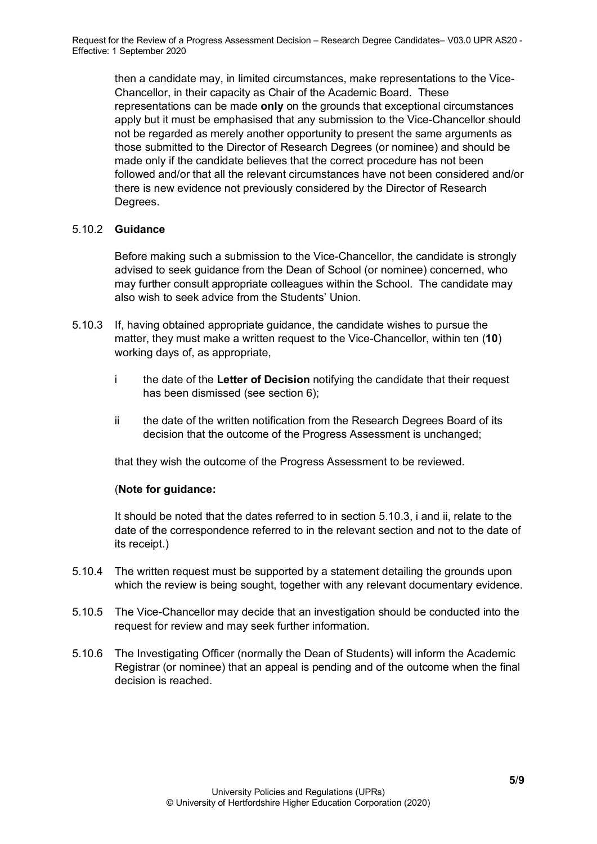then a candidate may, in limited circumstances, make representations to the Vice-Chancellor, in their capacity as Chair of the Academic Board. These representations can be made **only** on the grounds that exceptional circumstances apply but it must be emphasised that any submission to the Vice-Chancellor should not be regarded as merely another opportunity to present the same arguments as those submitted to the Director of Research Degrees (or nominee) and should be made only if the candidate believes that the correct procedure has not been followed and/or that all the relevant circumstances have not been considered and/or there is new evidence not previously considered by the Director of Research Degrees.

#### <span id="page-4-0"></span>5.10.2 **Guidance**

Before making such a submission to the Vice-Chancellor, the candidate is strongly advised to seek guidance from the Dean of School (or nominee) concerned, who may further consult appropriate colleagues within the School. The candidate may also wish to seek advice from the Students' Union.

- 5.10.3 If, having obtained appropriate guidance, the candidate wishes to pursue the matter, they must make a written request to the Vice-Chancellor, within ten (**10**) working days of, as appropriate,
	- i the date of the **Letter of Decision** notifying the candidate that their request has been dismissed (see section 6);
	- ii the date of the written notification from the Research Degrees Board of its decision that the outcome of the Progress Assessment is unchanged;

that they wish the outcome of the Progress Assessment to be reviewed.

#### (**Note for guidance:**

It should be noted that the dates referred to in section 5.10.3, i and ii, relate to the date of the correspondence referred to in the relevant section and not to the date of its receipt.)

- 5.10.4 The written request must be supported by a statement detailing the grounds upon which the review is being sought, together with any relevant documentary evidence.
- 5.10.5 The Vice-Chancellor may decide that an investigation should be conducted into the request for review and may seek further information.
- 5.10.6 The Investigating Officer (normally the Dean of Students) will inform the Academic Registrar (or nominee) that an appeal is pending and of the outcome when the final decision is reached.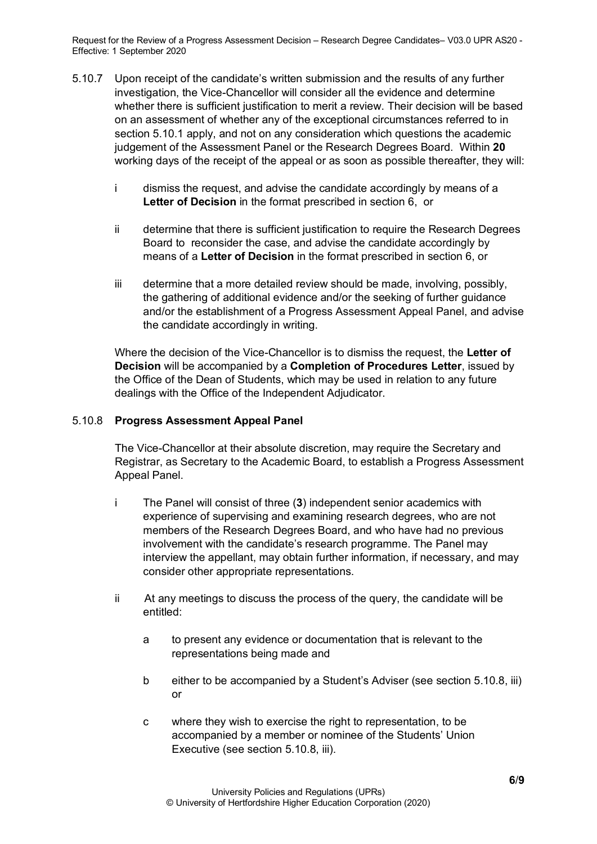- 5.10.7 Upon receipt of the candidate's written submission and the results of any further investigation, the Vice-Chancellor will consider all the evidence and determine whether there is sufficient justification to merit a review. Their decision will be based on an assessment of whether any of the exceptional circumstances referred to in section 5.10.1 apply, and not on any consideration which questions the academic judgement of the Assessment Panel or the Research Degrees Board. Within **20** working days of the receipt of the appeal or as soon as possible thereafter, they will:
	- i dismiss the request, and advise the candidate accordingly by means of a **Letter of Decision** in the format prescribed in section 6, or
	- ii determine that there is sufficient justification to require the Research Degrees Board to reconsider the case, and advise the candidate accordingly by means of a **Letter of Decision** in the format prescribed in section 6, or
	- iii determine that a more detailed review should be made, involving, possibly, the gathering of additional evidence and/or the seeking of further guidance and/or the establishment of a Progress Assessment Appeal Panel, and advise the candidate accordingly in writing.

Where the decision of the Vice-Chancellor is to dismiss the request, the **Letter of Decision** will be accompanied by a **Completion of Procedures Letter**, issued by the Office of the Dean of Students, which may be used in relation to any future dealings with the Office of the Independent Adjudicator.

#### <span id="page-5-0"></span>5.10.8 **Progress Assessment Appeal Panel**

The Vice-Chancellor at their absolute discretion, may require the Secretary and Registrar, as Secretary to the Academic Board, to establish a Progress Assessment Appeal Panel.

- i The Panel will consist of three (**3**) independent senior academics with experience of supervising and examining research degrees, who are not members of the Research Degrees Board, and who have had no previous involvement with the candidate's research programme. The Panel may interview the appellant, may obtain further information, if necessary, and may consider other appropriate representations.
- ii At any meetings to discuss the process of the query, the candidate will be entitled:
	- a to present any evidence or documentation that is relevant to the representations being made and
	- b either to be accompanied by a Student's Adviser (see section 5.10.8, iii) or
	- c where they wish to exercise the right to representation, to be accompanied by a member or nominee of the Students' Union Executive (see section 5.10.8, iii).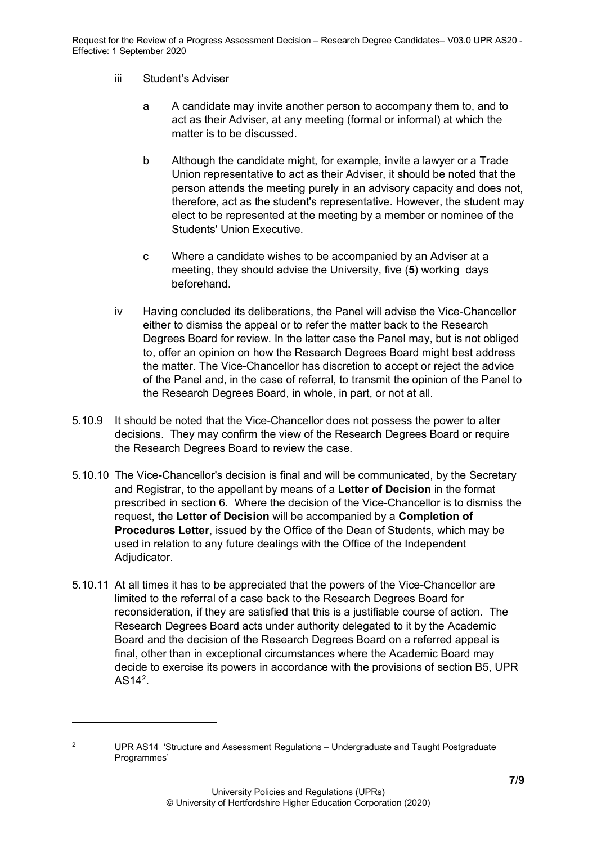#### iii Student's Adviser

- a A candidate may invite another person to accompany them to, and to act as their Adviser, at any meeting (formal or informal) at which the matter is to be discussed.
- b Although the candidate might, for example, invite a lawyer or a Trade Union representative to act as their Adviser, it should be noted that the person attends the meeting purely in an advisory capacity and does not, therefore, act as the student's representative. However, the student may elect to be represented at the meeting by a member or nominee of the Students' Union Executive.
- c Where a candidate wishes to be accompanied by an Adviser at a meeting, they should advise the University, five (**5**) working days beforehand.
- iv Having concluded its deliberations, the Panel will advise the Vice-Chancellor either to dismiss the appeal or to refer the matter back to the Research Degrees Board for review. In the latter case the Panel may, but is not obliged to, offer an opinion on how the Research Degrees Board might best address the matter. The Vice-Chancellor has discretion to accept or reject the advice of the Panel and, in the case of referral, to transmit the opinion of the Panel to the Research Degrees Board, in whole, in part, or not at all.
- 5.10.9 It should be noted that the Vice-Chancellor does not possess the power to alter decisions. They may confirm the view of the Research Degrees Board or require the Research Degrees Board to review the case.
- 5.10.10 The Vice-Chancellor's decision is final and will be communicated, by the Secretary and Registrar, to the appellant by means of a **Letter of Decision** in the format prescribed in section 6. Where the decision of the Vice-Chancellor is to dismiss the request, the **Letter of Decision** will be accompanied by a **Completion of Procedures Letter**, issued by the Office of the Dean of Students, which may be used in relation to any future dealings with the Office of the Independent Adjudicator.
- 5.10.11 At all times it has to be appreciated that the powers of the Vice-Chancellor are limited to the referral of a case back to the Research Degrees Board for reconsideration, if they are satisfied that this is a justifiable course of action. The Research Degrees Board acts under authority delegated to it by the Academic Board and the decision of the Research Degrees Board on a referred appeal is final, other than in exceptional circumstances where the Academic Board may decide to exercise its powers in accordance with the provisions of section B5, UPR  $AS14<sup>2</sup>$  $AS14<sup>2</sup>$  $AS14<sup>2</sup>$ .

<span id="page-6-0"></span><sup>&</sup>lt;sup>2</sup> UPR AS14 'Structure and Assessment Regulations – Undergraduate and Taught Postgraduate Programmes'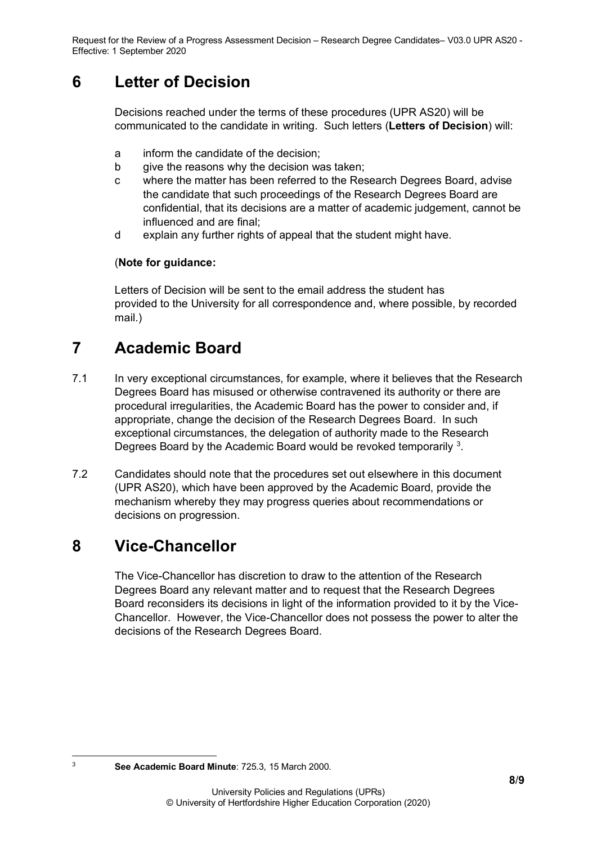### <span id="page-7-0"></span>**6 Letter of Decision**

Decisions reached under the terms of these procedures (UPR AS20) will be communicated to the candidate in writing. Such letters (**Letters of Decision**) will:

- a inform the candidate of the decision;
- b give the reasons why the decision was taken;
- c where the matter has been referred to the Research Degrees Board, advise the candidate that such proceedings of the Research Degrees Board are confidential, that its decisions are a matter of academic judgement, cannot be influenced and are final;
- d explain any further rights of appeal that the student might have.

#### (**Note for guidance:**

Letters of Decision will be sent to the email address the student has provided to the University for all correspondence and, where possible, by recorded mail.)

# <span id="page-7-1"></span>**7 Academic Board**

- 7.1 In very exceptional circumstances, for example, where it believes that the Research Degrees Board has misused or otherwise contravened its authority or there are procedural irregularities, the Academic Board has the power to consider and, if appropriate, change the decision of the Research Degrees Board. In such exceptional circumstances, the delegation of authority made to the Research Degrees Board by the Academic Board would be revoked temporarily  $3$ .
- 7.2 Candidates should note that the procedures set out elsewhere in this document (UPR AS20), which have been approved by the Academic Board, provide the mechanism whereby they may progress queries about recommendations or decisions on progression.

# <span id="page-7-2"></span>**8 Vice-Chancellor**

The Vice-Chancellor has discretion to draw to the attention of the Research Degrees Board any relevant matter and to request that the Research Degrees Board reconsiders its decisions in light of the information provided to it by the Vice-Chancellor. However, the Vice-Chancellor does not possess the power to alter the decisions of the Research Degrees Board.

<span id="page-7-3"></span><sup>3</sup> **See Academic Board Minute**: 725.3, 15 March 2000.